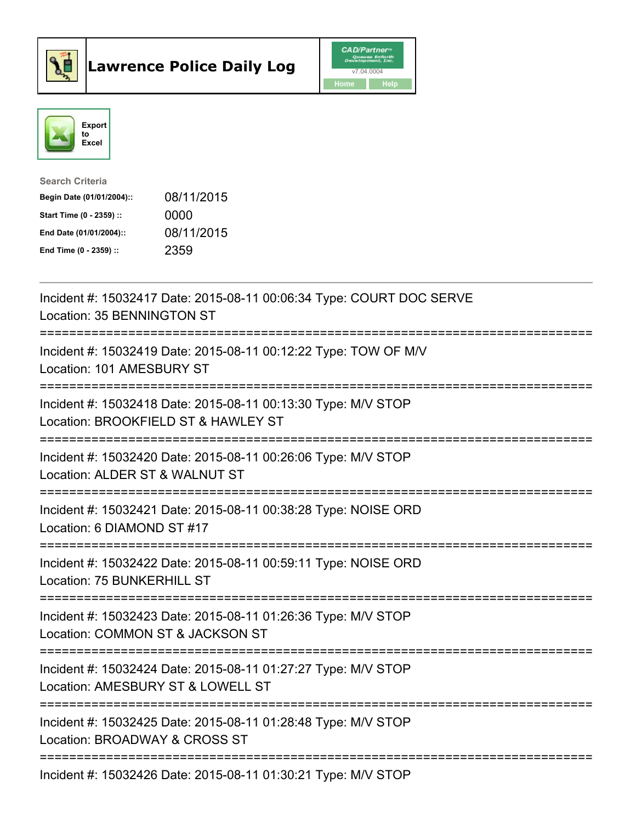



| <b>Search Criteria</b>    |            |
|---------------------------|------------|
| Begin Date (01/01/2004):: | 08/11/2015 |
| Start Time (0 - 2359) ::  | 0000       |
| End Date (01/01/2004)::   | 08/11/2015 |
| End Time $(0 - 2359)$ :   | 2359       |

| Incident #: 15032417 Date: 2015-08-11 00:06:34 Type: COURT DOC SERVE<br>Location: 35 BENNINGTON ST                            |
|-------------------------------------------------------------------------------------------------------------------------------|
| Incident #: 15032419 Date: 2015-08-11 00:12:22 Type: TOW OF M/V<br>Location: 101 AMESBURY ST                                  |
| Incident #: 15032418 Date: 2015-08-11 00:13:30 Type: M/V STOP<br>Location: BROOKFIELD ST & HAWLEY ST                          |
| Incident #: 15032420 Date: 2015-08-11 00:26:06 Type: M/V STOP<br>Location: ALDER ST & WALNUT ST<br>----------------------     |
| Incident #: 15032421 Date: 2015-08-11 00:38:28 Type: NOISE ORD<br>Location: 6 DIAMOND ST #17                                  |
| :===================<br>Incident #: 15032422 Date: 2015-08-11 00:59:11 Type: NOISE ORD<br>Location: 75 BUNKERHILL ST          |
| Incident #: 15032423 Date: 2015-08-11 01:26:36 Type: M/V STOP<br>Location: COMMON ST & JACKSON ST                             |
| :======================<br>Incident #: 15032424 Date: 2015-08-11 01:27:27 Type: M/V STOP<br>Location: AMESBURY ST & LOWELL ST |
| =======================<br>Incident #: 15032425 Date: 2015-08-11 01:28:48 Type: M/V STOP<br>Location: BROADWAY & CROSS ST     |
| Incident #: 15032426 Date: 2015-08-11 01:30:21 Type: M/V STOP                                                                 |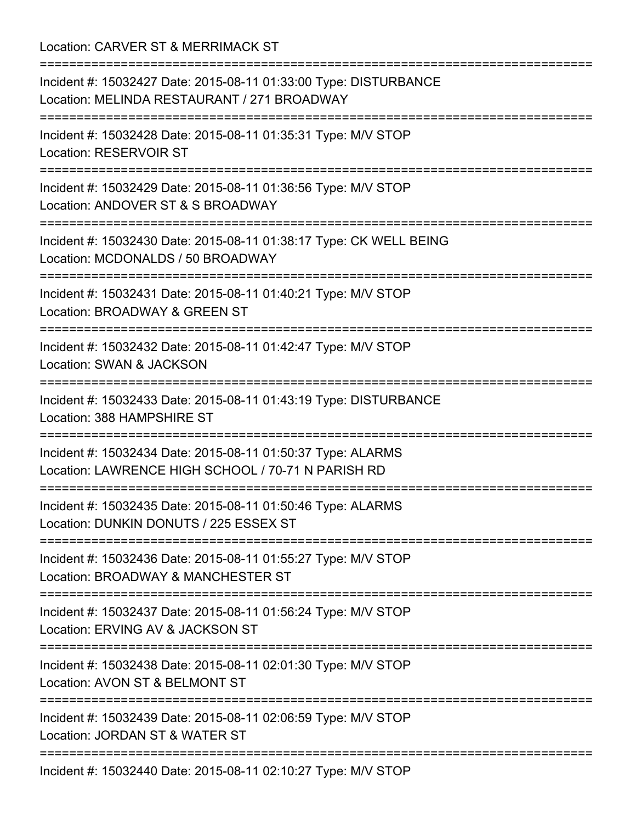Location: CARVER ST & MERRIMACK ST

| Incident #: 15032427 Date: 2015-08-11 01:33:00 Type: DISTURBANCE<br>Location: MELINDA RESTAURANT / 271 BROADWAY                                                     |
|---------------------------------------------------------------------------------------------------------------------------------------------------------------------|
| Incident #: 15032428 Date: 2015-08-11 01:35:31 Type: M/V STOP<br>Location: RESERVOIR ST<br>===============================                                          |
| Incident #: 15032429 Date: 2015-08-11 01:36:56 Type: M/V STOP<br>Location: ANDOVER ST & S BROADWAY                                                                  |
| Incident #: 15032430 Date: 2015-08-11 01:38:17 Type: CK WELL BEING<br>Location: MCDONALDS / 50 BROADWAY                                                             |
| Incident #: 15032431 Date: 2015-08-11 01:40:21 Type: M/V STOP<br>Location: BROADWAY & GREEN ST                                                                      |
| Incident #: 15032432 Date: 2015-08-11 01:42:47 Type: M/V STOP<br><b>Location: SWAN &amp; JACKSON</b><br>=====================================<br>================== |
| Incident #: 15032433 Date: 2015-08-11 01:43:19 Type: DISTURBANCE<br>Location: 388 HAMPSHIRE ST<br>=================                                                 |
| Incident #: 15032434 Date: 2015-08-11 01:50:37 Type: ALARMS<br>Location: LAWRENCE HIGH SCHOOL / 70-71 N PARISH RD                                                   |
| Incident #: 15032435 Date: 2015-08-11 01:50:46 Type: ALARMS<br>Location: DUNKIN DONUTS / 225 ESSEX ST                                                               |
| Incident #: 15032436 Date: 2015-08-11 01:55:27 Type: M/V STOP<br>Location: BROADWAY & MANCHESTER ST                                                                 |
| Incident #: 15032437 Date: 2015-08-11 01:56:24 Type: M/V STOP<br>Location: ERVING AV & JACKSON ST                                                                   |
| Incident #: 15032438 Date: 2015-08-11 02:01:30 Type: M/V STOP<br>Location: AVON ST & BELMONT ST                                                                     |
| ========<br>Incident #: 15032439 Date: 2015-08-11 02:06:59 Type: M/V STOP<br>Location: JORDAN ST & WATER ST                                                         |
| Incident #: 15032440 Date: 2015-08-11 02:10:27 Type: M/V STOP                                                                                                       |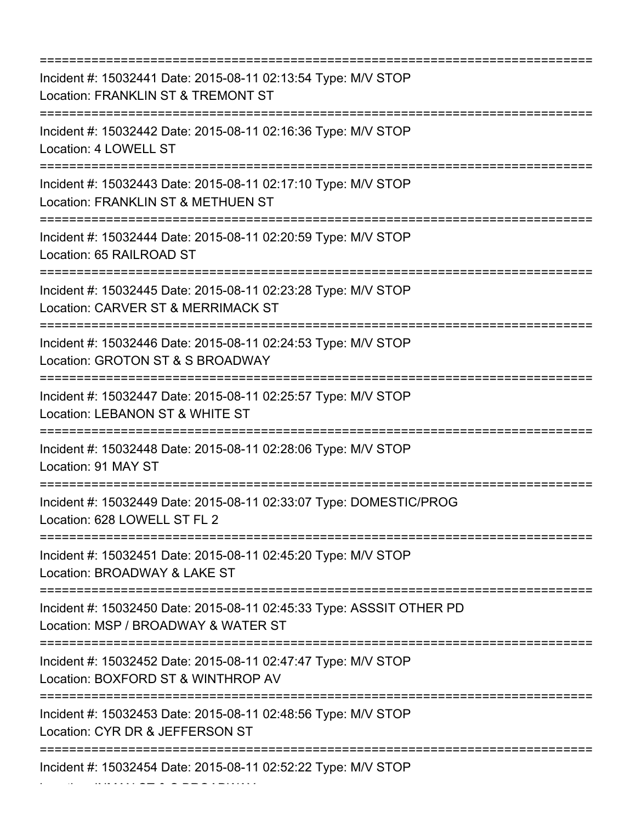=========================================================================== Incident #: 15032441 Date: 2015-08-11 02:13:54 Type: M/V STOP Location: FRANKLIN ST & TREMONT ST =========================================================================== Incident #: 15032442 Date: 2015-08-11 02:16:36 Type: M/V STOP Location: 4 LOWELL ST =========================================================================== Incident #: 15032443 Date: 2015-08-11 02:17:10 Type: M/V STOP Location: FRANKLIN ST & METHUEN ST =========================================================================== Incident #: 15032444 Date: 2015-08-11 02:20:59 Type: M/V STOP Location: 65 RAILROAD ST =========================================================================== Incident #: 15032445 Date: 2015-08-11 02:23:28 Type: M/V STOP Location: CARVER ST & MERRIMACK ST =========================================================================== Incident #: 15032446 Date: 2015-08-11 02:24:53 Type: M/V STOP Location: GROTON ST & S BROADWAY =========================================================================== Incident #: 15032447 Date: 2015-08-11 02:25:57 Type: M/V STOP Location: LEBANON ST & WHITE ST =========================================================================== Incident #: 15032448 Date: 2015-08-11 02:28:06 Type: M/V STOP Location: 91 MAY ST =========================================================================== Incident #: 15032449 Date: 2015-08-11 02:33:07 Type: DOMESTIC/PROG Location: 628 LOWELL ST FL 2 =========================================================================== Incident #: 15032451 Date: 2015-08-11 02:45:20 Type: M/V STOP Location: BROADWAY & LAKE ST =========================================================================== Incident #: 15032450 Date: 2015-08-11 02:45:33 Type: ASSSIT OTHER PD Location: MSP / BROADWAY & WATER ST =========================================================================== Incident #: 15032452 Date: 2015-08-11 02:47:47 Type: M/V STOP Location: BOXFORD ST & WINTHROP AV =========================================================================== Incident #: 15032453 Date: 2015-08-11 02:48:56 Type: M/V STOP Location: CYR DR & JEFFERSON ST =========================================================================== Incident #: 15032454 Date: 2015-08-11 02:52:22 Type: M/V STOP

Location: INMAN ST & S BROADWAY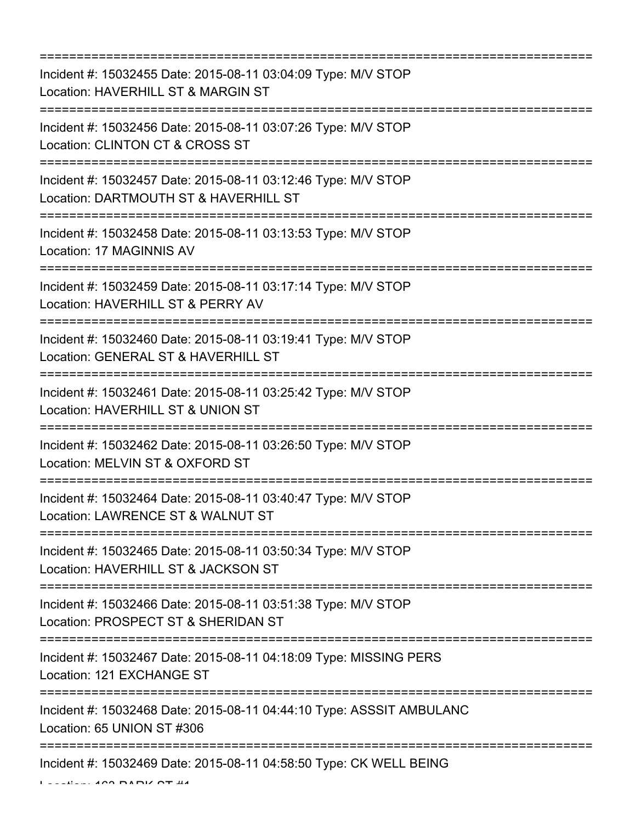=========================================================================== Incident #: 15032455 Date: 2015-08-11 03:04:09 Type: M/V STOP Location: HAVERHILL ST & MARGIN ST =========================================================================== Incident #: 15032456 Date: 2015-08-11 03:07:26 Type: M/V STOP Location: CLINTON CT & CROSS ST =========================================================================== Incident #: 15032457 Date: 2015-08-11 03:12:46 Type: M/V STOP Location: DARTMOUTH ST & HAVERHILL ST =========================================================================== Incident #: 15032458 Date: 2015-08-11 03:13:53 Type: M/V STOP Location: 17 MAGINNIS AV =========================================================================== Incident #: 15032459 Date: 2015-08-11 03:17:14 Type: M/V STOP Location: HAVERHILL ST & PERRY AV =========================================================================== Incident #: 15032460 Date: 2015-08-11 03:19:41 Type: M/V STOP Location: GENERAL ST & HAVERHILL ST =========================================================================== Incident #: 15032461 Date: 2015-08-11 03:25:42 Type: M/V STOP Location: HAVERHILL ST & UNION ST =========================================================================== Incident #: 15032462 Date: 2015-08-11 03:26:50 Type: M/V STOP Location: MELVIN ST & OXFORD ST =========================================================================== Incident #: 15032464 Date: 2015-08-11 03:40:47 Type: M/V STOP Location: LAWRENCE ST & WALNUT ST =========================================================================== Incident #: 15032465 Date: 2015-08-11 03:50:34 Type: M/V STOP Location: HAVERHILL ST & JACKSON ST =========================================================================== Incident #: 15032466 Date: 2015-08-11 03:51:38 Type: M/V STOP Location: PROSPECT ST & SHERIDAN ST =========================================================================== Incident #: 15032467 Date: 2015-08-11 04:18:09 Type: MISSING PERS Location: 121 EXCHANGE ST =========================================================================== Incident #: 15032468 Date: 2015-08-11 04:44:10 Type: ASSSIT AMBULANC Location: 65 UNION ST #306 =========================================================================== Incident #: 15032469 Date: 2015-08-11 04:58:50 Type: CK WELL BEING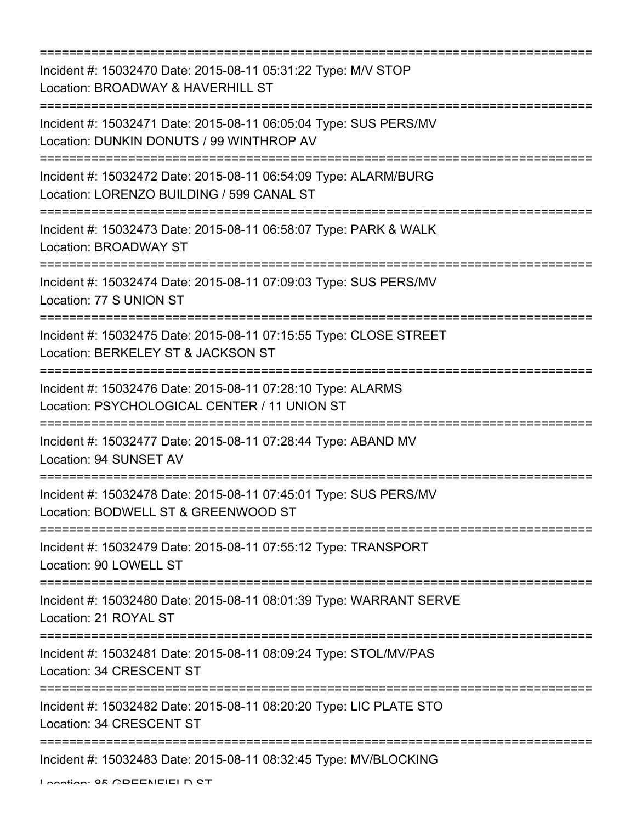=========================================================================== Incident #: 15032470 Date: 2015-08-11 05:31:22 Type: M/V STOP Location: BROADWAY & HAVERHILL ST =========================================================================== Incident #: 15032471 Date: 2015-08-11 06:05:04 Type: SUS PERS/MV Location: DUNKIN DONUTS / 99 WINTHROP AV =========================================================================== Incident #: 15032472 Date: 2015-08-11 06:54:09 Type: ALARM/BURG Location: LORENZO BUILDING / 599 CANAL ST =========================================================================== Incident #: 15032473 Date: 2015-08-11 06:58:07 Type: PARK & WALK Location: BROADWAY ST =========================================================================== Incident #: 15032474 Date: 2015-08-11 07:09:03 Type: SUS PERS/MV Location: 77 S UNION ST =========================================================================== Incident #: 15032475 Date: 2015-08-11 07:15:55 Type: CLOSE STREET Location: BERKELEY ST & JACKSON ST =========================================================================== Incident #: 15032476 Date: 2015-08-11 07:28:10 Type: ALARMS Location: PSYCHOLOGICAL CENTER / 11 UNION ST =========================================================================== Incident #: 15032477 Date: 2015-08-11 07:28:44 Type: ABAND MV Location: 94 SUNSET AV =========================================================================== Incident #: 15032478 Date: 2015-08-11 07:45:01 Type: SUS PERS/MV Location: BODWELL ST & GREENWOOD ST =========================================================================== Incident #: 15032479 Date: 2015-08-11 07:55:12 Type: TRANSPORT Location: 90 LOWELL ST =========================================================================== Incident #: 15032480 Date: 2015-08-11 08:01:39 Type: WARRANT SERVE Location: 21 ROYAL ST =========================================================================== Incident #: 15032481 Date: 2015-08-11 08:09:24 Type: STOL/MV/PAS Location: 34 CRESCENT ST =========================================================================== Incident #: 15032482 Date: 2015-08-11 08:20:20 Type: LIC PLATE STO Location: 34 CRESCENT ST =========================================================================== Incident #: 15032483 Date: 2015-08-11 08:32:45 Type: MV/BLOCKING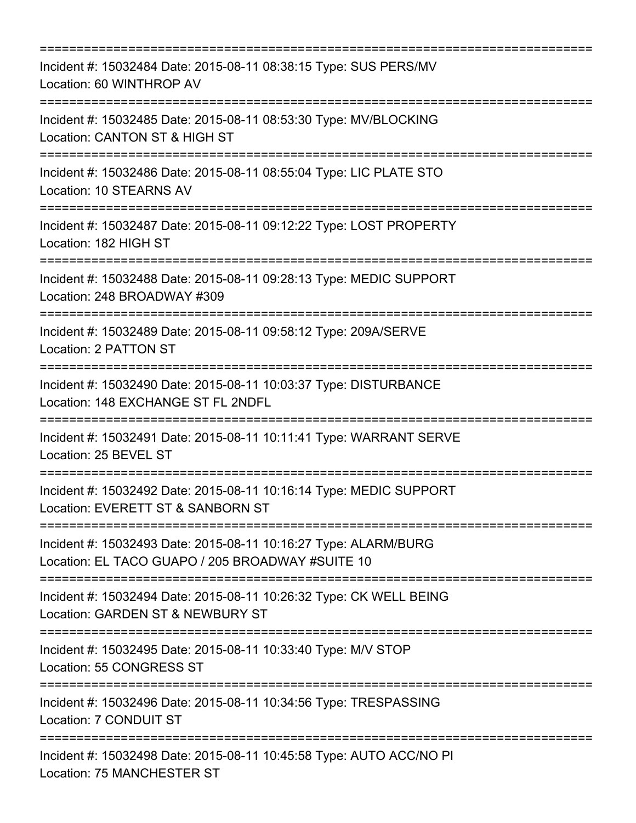| Incident #: 15032484 Date: 2015-08-11 08:38:15 Type: SUS PERS/MV<br>Location: 60 WINTHROP AV                                   |
|--------------------------------------------------------------------------------------------------------------------------------|
| Incident #: 15032485 Date: 2015-08-11 08:53:30 Type: MV/BLOCKING<br>Location: CANTON ST & HIGH ST                              |
| Incident #: 15032486 Date: 2015-08-11 08:55:04 Type: LIC PLATE STO<br>Location: 10 STEARNS AV                                  |
| Incident #: 15032487 Date: 2015-08-11 09:12:22 Type: LOST PROPERTY<br>Location: 182 HIGH ST                                    |
| Incident #: 15032488 Date: 2015-08-11 09:28:13 Type: MEDIC SUPPORT<br>Location: 248 BROADWAY #309                              |
| Incident #: 15032489 Date: 2015-08-11 09:58:12 Type: 209A/SERVE<br>Location: 2 PATTON ST                                       |
| ====================<br>Incident #: 15032490 Date: 2015-08-11 10:03:37 Type: DISTURBANCE<br>Location: 148 EXCHANGE ST FL 2NDFL |
| Incident #: 15032491 Date: 2015-08-11 10:11:41 Type: WARRANT SERVE<br>Location: 25 BEVEL ST                                    |
| Incident #: 15032492 Date: 2015-08-11 10:16:14 Type: MEDIC SUPPORT<br>Location: EVERETT ST & SANBORN ST                        |
| Incident #: 15032493 Date: 2015-08-11 10:16:27 Type: ALARM/BURG<br>Location: EL TACO GUAPO / 205 BROADWAY #SUITE 10            |
| Incident #: 15032494 Date: 2015-08-11 10:26:32 Type: CK WELL BEING<br>Location: GARDEN ST & NEWBURY ST                         |
| Incident #: 15032495 Date: 2015-08-11 10:33:40 Type: M/V STOP<br>Location: 55 CONGRESS ST                                      |
| Incident #: 15032496 Date: 2015-08-11 10:34:56 Type: TRESPASSING<br>Location: 7 CONDUIT ST                                     |
| Incident #: 15032498 Date: 2015-08-11 10:45:58 Type: AUTO ACC/NO PI<br>Location: 75 MANCHESTER ST                              |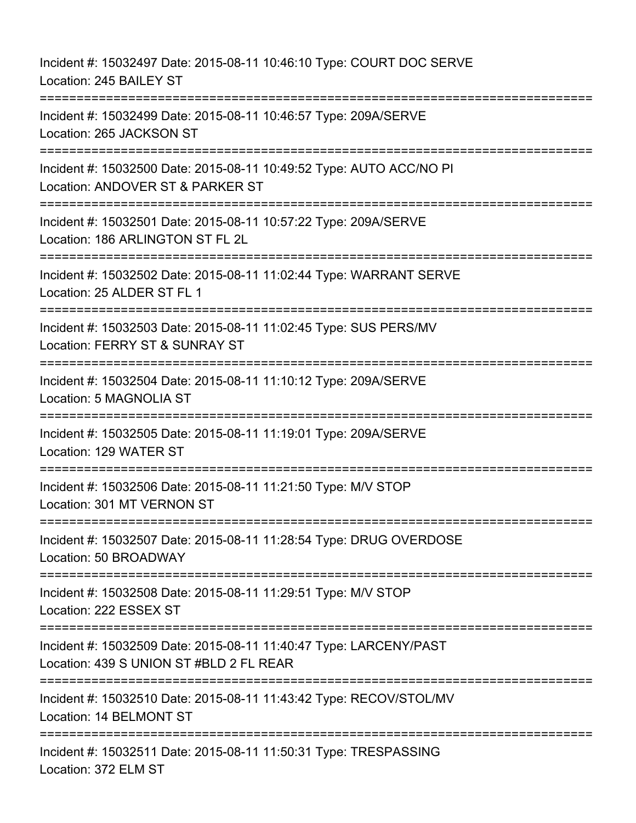Incident #: 15032497 Date: 2015-08-11 10:46:10 Type: COURT DOC SERVE Location: 245 BAILEY ST =========================================================================== Incident #: 15032499 Date: 2015-08-11 10:46:57 Type: 209A/SERVE Location: 265 JACKSON ST =========================================================================== Incident #: 15032500 Date: 2015-08-11 10:49:52 Type: AUTO ACC/NO PI Location: ANDOVER ST & PARKER ST =========================================================================== Incident #: 15032501 Date: 2015-08-11 10:57:22 Type: 209A/SERVE Location: 186 ARLINGTON ST FL 2L =========================================================================== Incident #: 15032502 Date: 2015-08-11 11:02:44 Type: WARRANT SERVE Location: 25 ALDER ST FL 1 =========================================================================== Incident #: 15032503 Date: 2015-08-11 11:02:45 Type: SUS PERS/MV Location: FERRY ST & SUNRAY ST =========================================================================== Incident #: 15032504 Date: 2015-08-11 11:10:12 Type: 209A/SERVE Location: 5 MAGNOLIA ST =========================================================================== Incident #: 15032505 Date: 2015-08-11 11:19:01 Type: 209A/SERVE Location: 129 WATER ST =========================================================================== Incident #: 15032506 Date: 2015-08-11 11:21:50 Type: M/V STOP Location: 301 MT VERNON ST =========================================================================== Incident #: 15032507 Date: 2015-08-11 11:28:54 Type: DRUG OVERDOSE Location: 50 BROADWAY =========================================================================== Incident #: 15032508 Date: 2015-08-11 11:29:51 Type: M/V STOP Location: 222 ESSEX ST =========================================================================== Incident #: 15032509 Date: 2015-08-11 11:40:47 Type: LARCENY/PAST Location: 439 S UNION ST #BLD 2 FL REAR =========================================================================== Incident #: 15032510 Date: 2015-08-11 11:43:42 Type: RECOV/STOL/MV Location: 14 BELMONT ST =========================================================================== Incident #: 15032511 Date: 2015-08-11 11:50:31 Type: TRESPASSING Location: 372 ELM ST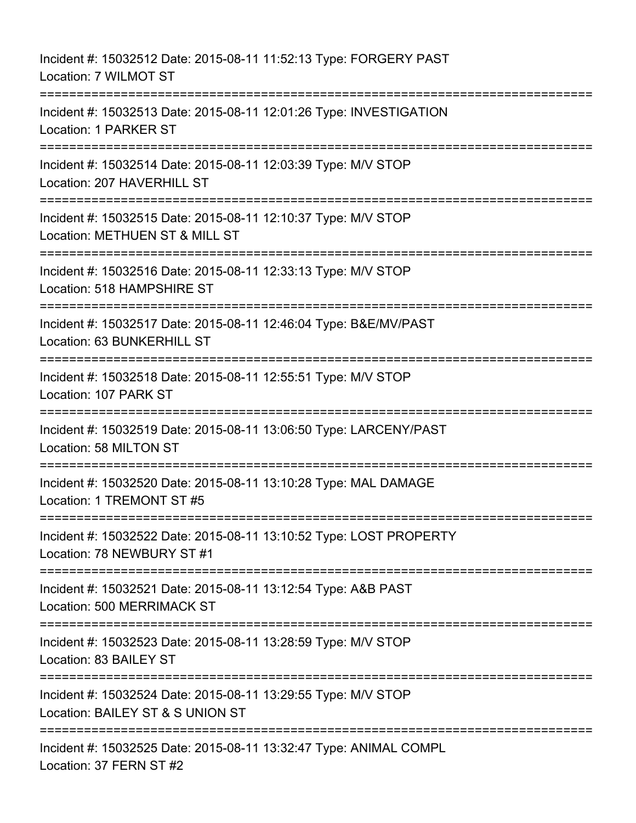Incident #: 15032512 Date: 2015-08-11 11:52:13 Type: FORGERY PAST Location: 7 WILMOT ST =========================================================================== Incident #: 15032513 Date: 2015-08-11 12:01:26 Type: INVESTIGATION Location: 1 PARKER ST =========================================================================== Incident #: 15032514 Date: 2015-08-11 12:03:39 Type: M/V STOP Location: 207 HAVERHILL ST =========================================================================== Incident #: 15032515 Date: 2015-08-11 12:10:37 Type: M/V STOP Location: METHUEN ST & MILL ST =========================================================================== Incident #: 15032516 Date: 2015-08-11 12:33:13 Type: M/V STOP Location: 518 HAMPSHIRE ST =========================================================================== Incident #: 15032517 Date: 2015-08-11 12:46:04 Type: B&E/MV/PAST Location: 63 BUNKERHILL ST =========================================================================== Incident #: 15032518 Date: 2015-08-11 12:55:51 Type: M/V STOP Location: 107 PARK ST =========================================================================== Incident #: 15032519 Date: 2015-08-11 13:06:50 Type: LARCENY/PAST Location: 58 MILTON ST =========================================================================== Incident #: 15032520 Date: 2015-08-11 13:10:28 Type: MAL DAMAGE Location: 1 TREMONT ST #5 =========================================================================== Incident #: 15032522 Date: 2015-08-11 13:10:52 Type: LOST PROPERTY Location: 78 NEWBURY ST #1 =========================================================================== Incident #: 15032521 Date: 2015-08-11 13:12:54 Type: A&B PAST Location: 500 MERRIMACK ST =========================================================================== Incident #: 15032523 Date: 2015-08-11 13:28:59 Type: M/V STOP Location: 83 BAILEY ST =========================================================================== Incident #: 15032524 Date: 2015-08-11 13:29:55 Type: M/V STOP Location: BAILEY ST & S UNION ST =========================================================================== Incident #: 15032525 Date: 2015-08-11 13:32:47 Type: ANIMAL COMPL Location: 37 FERN ST #2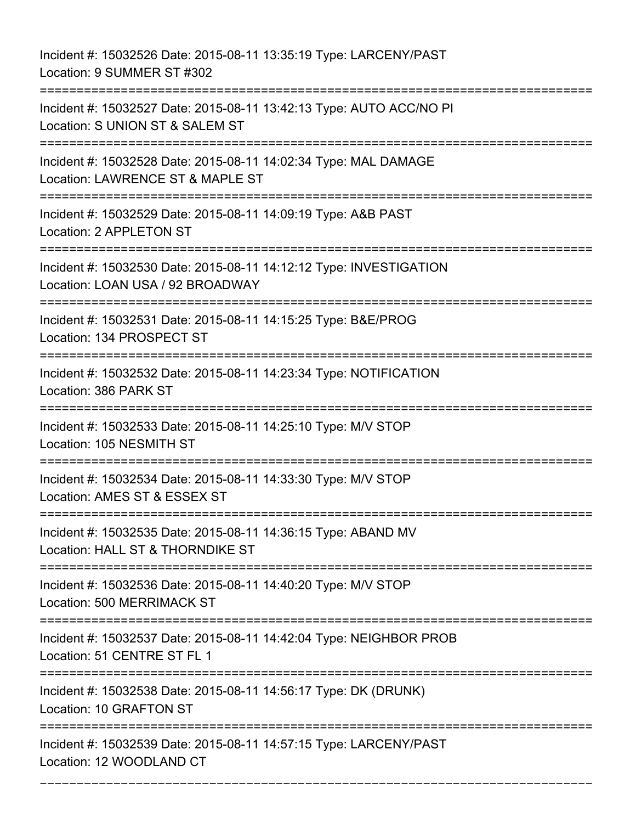Incident #: 15032526 Date: 2015-08-11 13:35:19 Type: LARCENY/PAST Location: 9 SUMMER ST #302 =========================================================================== Incident #: 15032527 Date: 2015-08-11 13:42:13 Type: AUTO ACC/NO PI Location: S UNION ST & SALEM ST =========================================================================== Incident #: 15032528 Date: 2015-08-11 14:02:34 Type: MAL DAMAGE Location: LAWRENCE ST & MAPLE ST =========================================================================== Incident #: 15032529 Date: 2015-08-11 14:09:19 Type: A&B PAST Location: 2 APPLETON ST =========================================================================== Incident #: 15032530 Date: 2015-08-11 14:12:12 Type: INVESTIGATION Location: LOAN USA / 92 BROADWAY =========================================================================== Incident #: 15032531 Date: 2015-08-11 14:15:25 Type: B&E/PROG Location: 134 PROSPECT ST =========================================================================== Incident #: 15032532 Date: 2015-08-11 14:23:34 Type: NOTIFICATION Location: 386 PARK ST =========================================================================== Incident #: 15032533 Date: 2015-08-11 14:25:10 Type: M/V STOP Location: 105 NESMITH ST =========================================================================== Incident #: 15032534 Date: 2015-08-11 14:33:30 Type: M/V STOP Location: AMES ST & ESSEX ST =========================================================================== Incident #: 15032535 Date: 2015-08-11 14:36:15 Type: ABAND MV Location: HALL ST & THORNDIKE ST =========================================================================== Incident #: 15032536 Date: 2015-08-11 14:40:20 Type: M/V STOP Location: 500 MERRIMACK ST =========================================================================== Incident #: 15032537 Date: 2015-08-11 14:42:04 Type: NEIGHBOR PROB Location: 51 CENTRE ST FL 1 =========================================================================== Incident #: 15032538 Date: 2015-08-11 14:56:17 Type: DK (DRUNK) Location: 10 GRAFTON ST =========================================================================== Incident #: 15032539 Date: 2015-08-11 14:57:15 Type: LARCENY/PAST Location: 12 WOODLAND CT ===========================================================================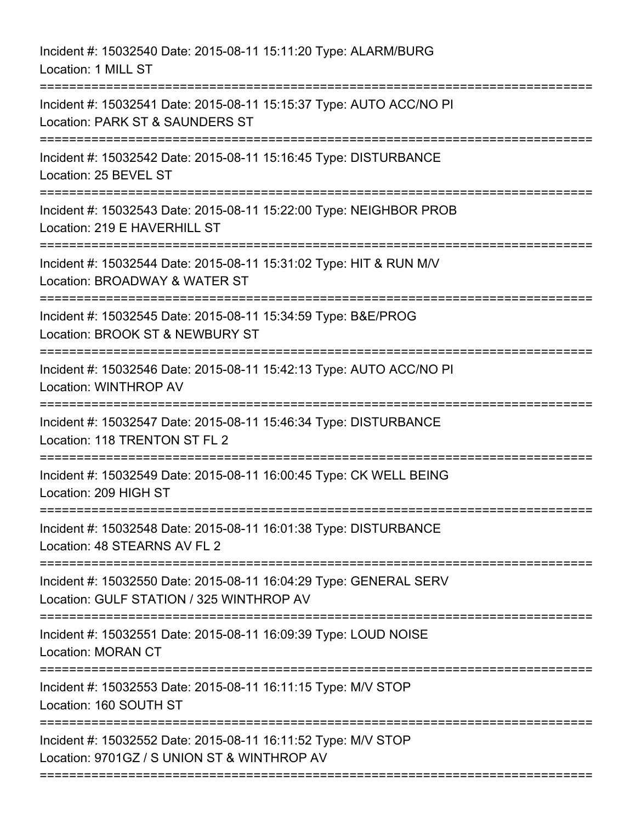| Incident #: 15032540 Date: 2015-08-11 15:11:20 Type: ALARM/BURG<br>Location: 1 MILL ST                                              |
|-------------------------------------------------------------------------------------------------------------------------------------|
| Incident #: 15032541 Date: 2015-08-11 15:15:37 Type: AUTO ACC/NO PI<br>Location: PARK ST & SAUNDERS ST<br>========================= |
| Incident #: 15032542 Date: 2015-08-11 15:16:45 Type: DISTURBANCE<br>Location: 25 BEVEL ST                                           |
| Incident #: 15032543 Date: 2015-08-11 15:22:00 Type: NEIGHBOR PROB<br>Location: 219 E HAVERHILL ST                                  |
| Incident #: 15032544 Date: 2015-08-11 15:31:02 Type: HIT & RUN M/V<br>Location: BROADWAY & WATER ST                                 |
| Incident #: 15032545 Date: 2015-08-11 15:34:59 Type: B&E/PROG<br>Location: BROOK ST & NEWBURY ST<br>---------------------------     |
| Incident #: 15032546 Date: 2015-08-11 15:42:13 Type: AUTO ACC/NO PI<br>Location: WINTHROP AV                                        |
| Incident #: 15032547 Date: 2015-08-11 15:46:34 Type: DISTURBANCE<br>Location: 118 TRENTON ST FL 2                                   |
| Incident #: 15032549 Date: 2015-08-11 16:00:45 Type: CK WELL BEING<br>Location: 209 HIGH ST                                         |
| Incident #: 15032548 Date: 2015-08-11 16:01:38 Type: DISTURBANCE<br>Location: 48 STEARNS AV FL 2                                    |
| Incident #: 15032550 Date: 2015-08-11 16:04:29 Type: GENERAL SERV<br>Location: GULF STATION / 325 WINTHROP AV                       |
| Incident #: 15032551 Date: 2015-08-11 16:09:39 Type: LOUD NOISE<br><b>Location: MORAN CT</b>                                        |
| Incident #: 15032553 Date: 2015-08-11 16:11:15 Type: M/V STOP<br>Location: 160 SOUTH ST                                             |
| Incident #: 15032552 Date: 2015-08-11 16:11:52 Type: M/V STOP<br>Location: 9701GZ / S UNION ST & WINTHROP AV                        |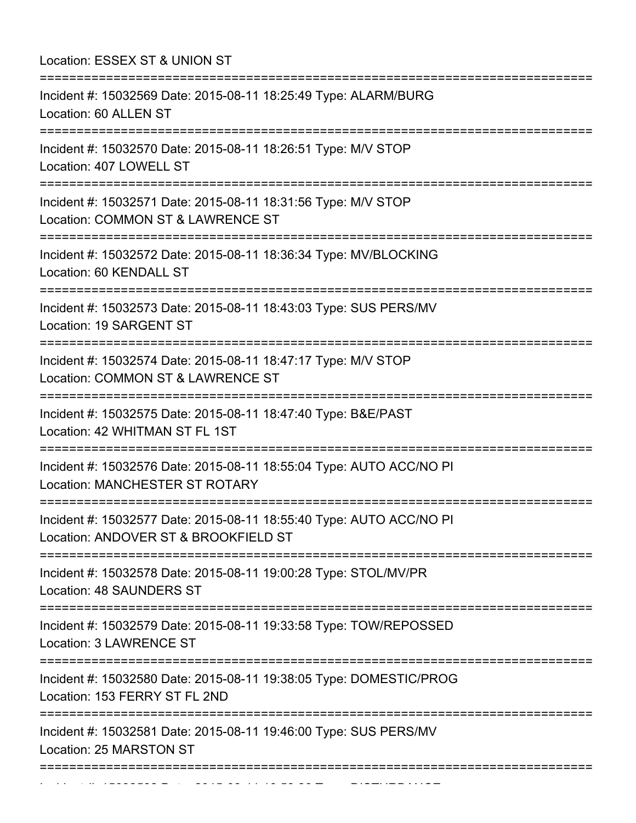Location: ESSEX ST & UNION ST =========================================================================== Incident #: 15032569 Date: 2015-08-11 18:25:49 Type: ALARM/BURG Location: 60 ALLEN ST =========================================================================== Incident #: 15032570 Date: 2015-08-11 18:26:51 Type: M/V STOP Location: 407 LOWELL ST =========================================================================== Incident #: 15032571 Date: 2015-08-11 18:31:56 Type: M/V STOP Location: COMMON ST & LAWRENCE ST =========================================================================== Incident #: 15032572 Date: 2015-08-11 18:36:34 Type: MV/BLOCKING Location: 60 KENDALL ST =========================================================================== Incident #: 15032573 Date: 2015-08-11 18:43:03 Type: SUS PERS/MV Location: 19 SARGENT ST =========================================================================== Incident #: 15032574 Date: 2015-08-11 18:47:17 Type: M/V STOP Location: COMMON ST & LAWRENCE ST =========================================================================== Incident #: 15032575 Date: 2015-08-11 18:47:40 Type: B&E/PAST Location: 42 WHITMAN ST FL 1ST =========================================================================== Incident #: 15032576 Date: 2015-08-11 18:55:04 Type: AUTO ACC/NO PI Location: MANCHESTER ST ROTARY =========================================================================== Incident #: 15032577 Date: 2015-08-11 18:55:40 Type: AUTO ACC/NO PI Location: ANDOVER ST & BROOKFIELD ST =========================================================================== Incident #: 15032578 Date: 2015-08-11 19:00:28 Type: STOL/MV/PR Location: 48 SAUNDERS ST =========================================================================== Incident #: 15032579 Date: 2015-08-11 19:33:58 Type: TOW/REPOSSED Location: 3 LAWRENCE ST =========================================================================== Incident #: 15032580 Date: 2015-08-11 19:38:05 Type: DOMESTIC/PROG Location: 153 FERRY ST FL 2ND =========================================================================== Incident #: 15032581 Date: 2015-08-11 19:46:00 Type: SUS PERS/MV Location: 25 MARSTON ST =========================================================================== Incident #: 15032582 Date: 2015 08 11 19:58:26 Date: 2015 08 11 19:58:26 Type: Disturbance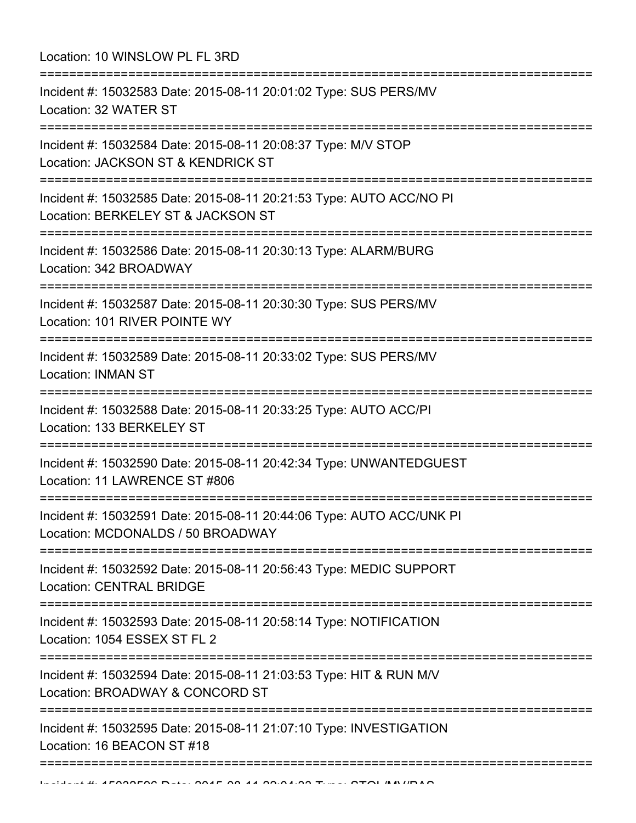| Location: 10 WINSLOW PL FL 3RD<br>:=================                                                                                                          |
|---------------------------------------------------------------------------------------------------------------------------------------------------------------|
| Incident #: 15032583 Date: 2015-08-11 20:01:02 Type: SUS PERS/MV<br>Location: 32 WATER ST                                                                     |
| Incident #: 15032584 Date: 2015-08-11 20:08:37 Type: M/V STOP<br>Location: JACKSON ST & KENDRICK ST<br>=================                                      |
| Incident #: 15032585 Date: 2015-08-11 20:21:53 Type: AUTO ACC/NO PI<br>Location: BERKELEY ST & JACKSON ST                                                     |
| Incident #: 15032586 Date: 2015-08-11 20:30:13 Type: ALARM/BURG<br>Location: 342 BROADWAY<br>===========================<br>================================= |
| Incident #: 15032587 Date: 2015-08-11 20:30:30 Type: SUS PERS/MV<br>Location: 101 RIVER POINTE WY                                                             |
| Incident #: 15032589 Date: 2015-08-11 20:33:02 Type: SUS PERS/MV<br><b>Location: INMAN ST</b>                                                                 |
| Incident #: 15032588 Date: 2015-08-11 20:33:25 Type: AUTO ACC/PI<br>Location: 133 BERKELEY ST                                                                 |
| Incident #: 15032590 Date: 2015-08-11 20:42:34 Type: UNWANTEDGUEST<br>Location: 11 LAWRENCE ST #806                                                           |
| Incident #: 15032591 Date: 2015-08-11 20:44:06 Type: AUTO ACC/UNK PI<br>Location: MCDONALDS / 50 BROADWAY                                                     |
| Incident #: 15032592 Date: 2015-08-11 20:56:43 Type: MEDIC SUPPORT<br><b>Location: CENTRAL BRIDGE</b>                                                         |
| Incident #: 15032593 Date: 2015-08-11 20:58:14 Type: NOTIFICATION<br>Location: 1054 ESSEX ST FL 2                                                             |
| Incident #: 15032594 Date: 2015-08-11 21:03:53 Type: HIT & RUN M/V<br>Location: BROADWAY & CONCORD ST                                                         |
| Incident #: 15032595 Date: 2015-08-11 21:07:10 Type: INVESTIGATION<br>Location: 16 BEACON ST #18                                                              |
|                                                                                                                                                               |